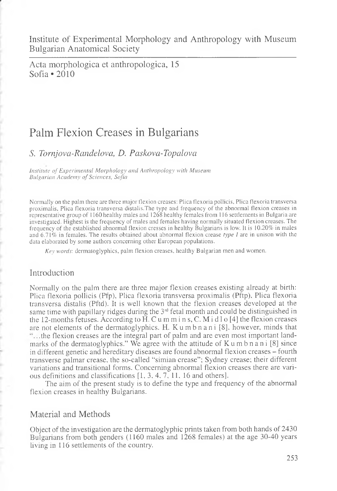Institute of Experimental Morphology and Anthropology with Museum Bulgarian Anatomical Society

Acta morphologica et anthropologica, 15 Sofia  $\bullet$  2010

# Palm Flexion Creases in Bulgarians

## *S. Tornjova-Randelova, D. Pciskovci-Topalova*

*Institute of Experimental Morphology and Anthropology with Museum Bulgarian Academy of Sciences, Sofia*

Normally on the palm there are three major flexion creases: Plica flexoria pollicis, Plica flexoria transversa proximaiis, Plica flexoria transversa distalis.The type and frequency of the abnormal flexion creases in representative group of 1160 healthy males and 1268 healthy females from 116 settlements in Bulgaria are investigated. Highest is the frequency of males and females having normally situated flexion creases. The frequency of the established abnormal flexion cresses in healthy Bulgarians is low. It is 10.20% in males and 6.71% in females. The results obtained about abnormal flexion crease *type I* are in unison with the data elaborated by some authors concerning other European populations.

*Key words:* dermatoglyphics, palm flexion creases, healthy Bulgarian men and women.

## Introduction

Normally on the palm there are three major flexion creases existing already at birth: Plica flexoria pollicis (Pfp), Plica flexoria transversa proximaiis (Pftp), Plica flexoria transversa distalis (Pftd). It is well known that the flexion creases developed at the same time with papillary ridges during the  $3<sup>rd</sup>$  fetal month and could be distinguished in the 12-months fetuses. According to H. C u m m i n s, C. M i d l o [4] the flexion creases are not elements of the dermatoglyphics. H. Kumbnani [8], however, minds that ....the flexion creases are the integral part of palm and are even most important landmarks of the dermatoglyphics." We agree with the attitude of  $K$ umbnani [8] since in different genetic and hereditary diseases are found abnormal flexion creases - fourth transverse palmar crease, the so-called "simian crease"; Sydney crease; their different variations and transitional forms. Concerning abnormal flexion creases there are various definitions and classifications [1, 3, 4, 7, 11, 16 and others].

The aim of the present study is to define the type and frequency of the abnormal flexion creases in healthy Bulgarians.

## Material and Methods

Object of the investigation are the dermatoglyphic prints taken from both hands of 2430 Bulgarians from both genders (1160 males and 1268 females) at the age 30-40 years living in 116 settlements of the country.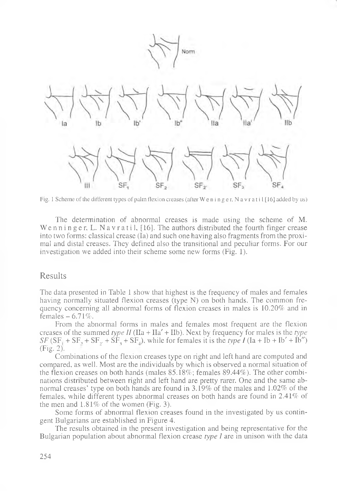

Fig. 1 Scheme of the different types of palm flexion creases (after Weninger, Navratil [16] added by us)

The determination of abnormal creases is made using the scheme of M. We n n i n g e r, L. N a v r a t i l,  $[16]$ . The authors distributed the fourth finger crease into two forms: classical crease (Ia) and such one having also fragments from the proximal and distal creases. They defined also the transitional and peculiar forms. For our investigation we added into their scheme some new forms (Fig. 1).

#### Results

The data presented in Table 1 show that highest is the frequency of males and females having normally situated flexion creases (type N) on both hands. The common frequency concerning all abnormal forms of flexion creases in males is 10.20% and in females  $-6.71\%$ .

From the abnormal forms in males and females most frequent are the flexion creases of the summed *type II* ( $\text{IIa} + \text{IIa'} + \text{IIb}$ ). Next by frequency for males is the *type*  $SF(SF_1 + SF_2 + SF_2 + SF_3 + SF_4)$ , while for females it is the *type I* (Ia + Ib + Ib' + Ib") (Fig. 2).

Combinations of the flexion creases type on right and left hand are computed and compared, as well. Most are the individuals by which is observed a normal situation of the flexion creases on both hands (males 85.18%; females 89.44%). The other combinations distributed between right and left hand are pretty rarer. One and the same abnormal creases' type on both hands are found in 3.19% of the males and 1.02% of the females, while different types abnormal creases on both hands are found in 2.41% of the men and 1.81% of the women (Fig. 3).

Some forms of abnormal flexion creases found in the investigated by us contingent Bulgarians are established in Figure 4.

The results obtained in the present investigation and being representative for the Bulgarian population about abnormal flexion crease *type I* are in unison with the data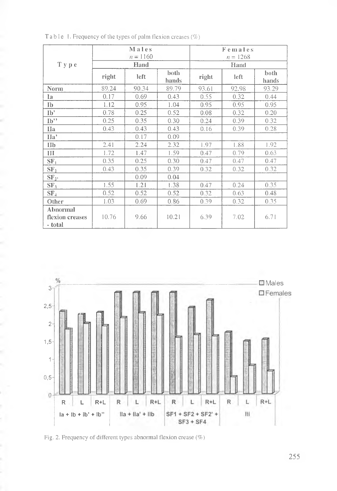|                                        | Males<br>$n = 1160$ |       |               | Females<br>$n = 1268$ |       |               |
|----------------------------------------|---------------------|-------|---------------|-----------------------|-------|---------------|
| T y p e                                | Hand                |       |               | Hand                  |       |               |
|                                        | right               | left  | both<br>hands | right                 | left  | both<br>hands |
| <b>Norm</b>                            | 89.24               | 90.34 | 89.79         | 93.61                 | 92.98 | 93.29         |
| Ia                                     | 0.17                | 0.69  | 0.43          | 0.55                  | 0.32  | 0.44          |
| <b>Ib</b>                              | 1.12                | 0.95  | 1.04          | 0.95                  | 0.95  | 0.95          |
| Ib'                                    | 0.78                | 0.25  | 0.52          | 0.08                  | 0.32  | 0.20          |
| $\mathbf{I} \mathbf{b}$ <sup>19</sup>  | 0.25                | 0.35  | 0.30          | 0.24                  | 0.39  | 0.32          |
| IIa                                    | 0.43                | 0.43  | 0.43          | 0.16                  | 0.39  | 0.28          |
| Ha'                                    |                     | 0.17  | 0.09          |                       |       |               |
| IIb                                    | 2.41                | 2.24  | 2.32          | 1.97                  | 1.88  | 1.92          |
| Ш                                      | 1.72                | 1.47  | 1.59          | 0.47                  | 0.79  | 0.63          |
| SF <sub>1</sub>                        | 0.35                | 0.25  | 0.30          | 0.47                  | 0.47  | 0.47          |
| SF <sub>2</sub>                        | 0.43                | 0.35  | 0.39          | 0.32                  | 0.32  | 0.32          |
| SF <sub>2</sub>                        |                     | 0.09  | 0.04          |                       |       |               |
| SF <sub>3</sub>                        | 1.55                | 1.21  | 1.38          | 0.47                  | 0.24  | 0.35          |
| SF <sub>4</sub>                        | 0.52                | 0.52  | 0.52          | 0.32                  | 0.63  | 0.48          |
| Other                                  | 1.03                | 0.69  | 0.86          | 0.39                  | 0.32  | 0.35          |
| Abnormal<br>flexion creases<br>- total | 10.76               | 9.66  | 10.21         | 6.39                  | 7.02  | 6.71          |

Table 1. Frequency of the types of palm flexion creases (%)



Fig. 2. Frequency of different types abnormal flexion crease (%)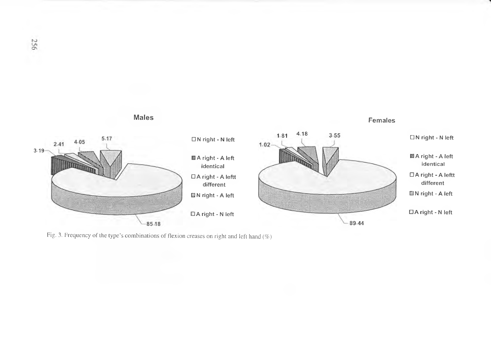

Fig. 3. Frequency of the type's combinations of flexion creases on right and left hand *(%)*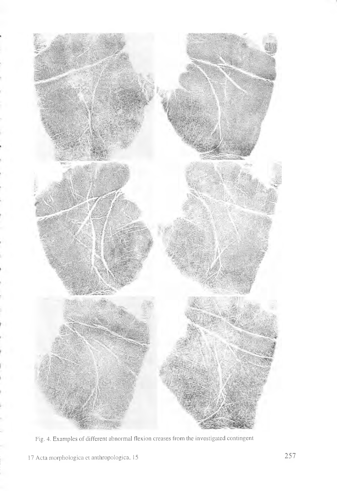

Fig. 4. Examples of different abnormal flexion creases from the investigated contingent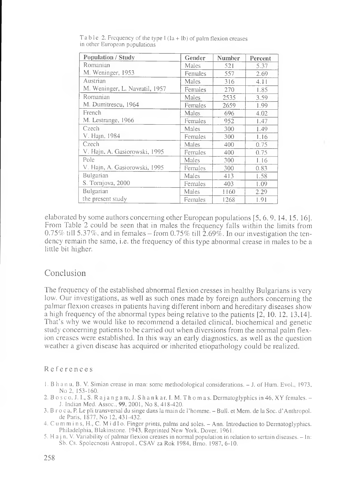| Population / Study             | Gender  | <b>Number</b> | Percent |
|--------------------------------|---------|---------------|---------|
| Romanian                       | Males   | 521           | 5.37    |
| M. Weninger, 1953              | Females | 557           | 2.69    |
| Austrian                       | Males   | 316           | 4.11    |
| M. Weninger, L. Navratil, 1957 | Females | 270           | 1.85    |
| Romanian                       | Males   | 2535          | 3.59    |
| M. Dumitrescu, 1964            | Females | 2659          | 1.99    |
| French                         | Males   | 696           | 4.02    |
| M. Lestrange, 1966             | Females | 952           | 1.47    |
| Czech                          | Males   | 300           | 1.49    |
| V. Hajn, 1984                  | Females | 300           | 1.16    |
| Czech                          | Males   | 400           | 0.75    |
| V. Hajn, A. Gasiorowski, 1995  | Females | 400           | 0.75    |
| Pole                           | Males   | 300           | 1.16    |
| V. Hajn, A. Gasiorowski, 1995  | Females | 300           | 0.83    |
| Bulgarian                      | Males   | 413           | 1.58    |
| S. Tomjova, 2000               | Females | 403           | 1.09    |
| Bulgarian                      | Males   | 1160          | 2.29    |
| the present study              | Females | 1268          | 1.91    |

Table 2. Frequency of the type I  $(Ia + Ib)$  of palm flexion creases in other European populations

elaborated by some authors concerning other European populations [5, 6, 9, 14, 15, 16J. From Table 2 could be seen that in males the frequency falls within the limits from  $0.75\%$  till 5.37%, and in females – from 0.75% till 2.69%. In our investigation the tendency remain the same, i.e. the frequency of this type abnormal crease in males to be a little bit higher.

#### Conclusion

The frequency of the established abnormal flexion cresses in healthy Bulgarians is very low. Our investigations, as well as such ones made by foreign authors concerning the palmar flexion creases in patients having different inborn and hereditary diseases show a high frequency of the abnormal types being relative to the patients [2, 10. 12, 13.14]. That's why we would like to recommend a detailed clinical, biochemical and genetic study concerning patients to be carried out when diversions from the normal palm flexion creases were established. In this way an early diagnostics, as well as the question weather a given disease has acquired or inherited etiopathology could be realized.

#### References

- 1. B h a n u, В. V. Simian crease in man: some methodological considerations. J. of Hum. Evol., 1973, No 2, 153-160.
- 2. B  $\circ$  s  $\circ$  o, J. I., S. R a j a n g a m, J. S h a n k a r, I. M. T h  $\circ$  m a s. Dermatoglyphics in 46, XY females.  $-$ J. Indian Med. Assoc., 99, 2001, No 8, 418-420.
- 3. B r o c a, R Le pli transversal du singe dans la main de l'homme. Bull, et Mem. de la Soc. d' Anthropol. de Paris, 1877, No 12, 431-432.
- 4. C u m m i n s, H., C. M i d 1 o. Finger prints, palms and soles. Ann. Introduction to Dermatoglyphics. Philadelphia, Blakinstone. 1943, Reprinted New York, Dover, 1961.
- 5. H a j n, V. Variability of palmar flexion creases in normal population in relation to sertain diseases. In: Sb. Cs. Spolecnosti Antropol., CSAV za Rok 1984, Brno. 1987, 6-10.